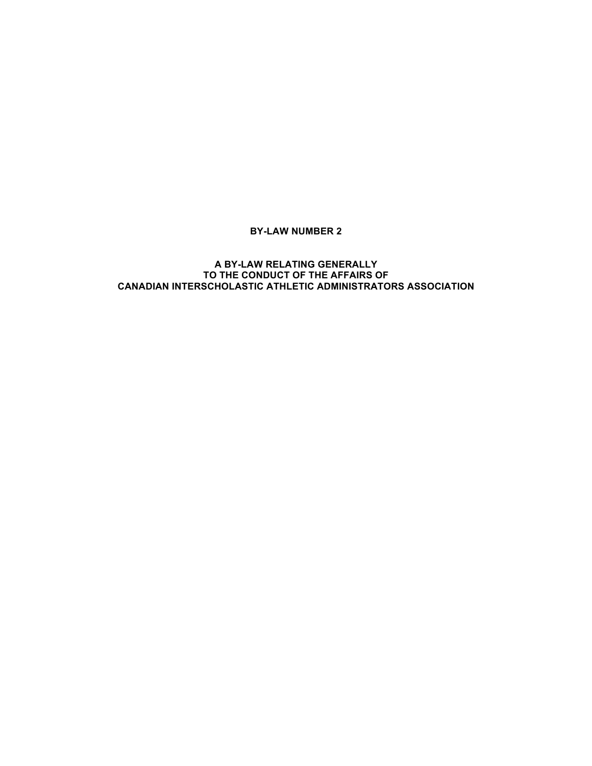# **BY-LAW NUMBER 2**

# **A BY-LAW RELATING GENERALLY TO THE CONDUCT OF THE AFFAIRS OF CANADIAN INTERSCHOLASTIC ATHLETIC ADMINISTRATORS ASSOCIATION**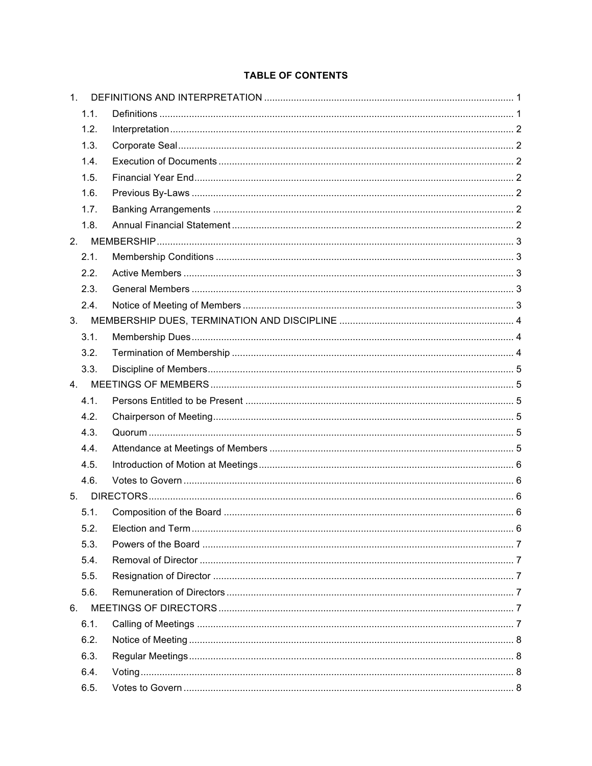# **TABLE OF CONTENTS**

| $1_{-}$        |  |
|----------------|--|
| 1.1.           |  |
| 1.2.           |  |
| 1.3.           |  |
| 1.4.           |  |
| 1.5.           |  |
| 1.6.           |  |
| 1.7.           |  |
| 1.8.           |  |
| 2 <sub>1</sub> |  |
| 2.1.           |  |
| 2.2.           |  |
| 2.3.           |  |
| 2.4.           |  |
|                |  |
| 3.1.           |  |
| 3.2.           |  |
| 3.3.           |  |
|                |  |
| 4.1.           |  |
| 4.2.           |  |
| 4.3.           |  |
| 4.4.           |  |
| 4.5.           |  |
| 4.6.           |  |
| 5.             |  |
| 5.1.           |  |
| 5.2.           |  |
| 5.3.           |  |
| 5.4.           |  |
| 5.5.           |  |
| 5.6.           |  |
| 6.             |  |
| 6.1.           |  |
| 6.2.           |  |
| 6.3.           |  |
| 6.4.           |  |
| 6.5.           |  |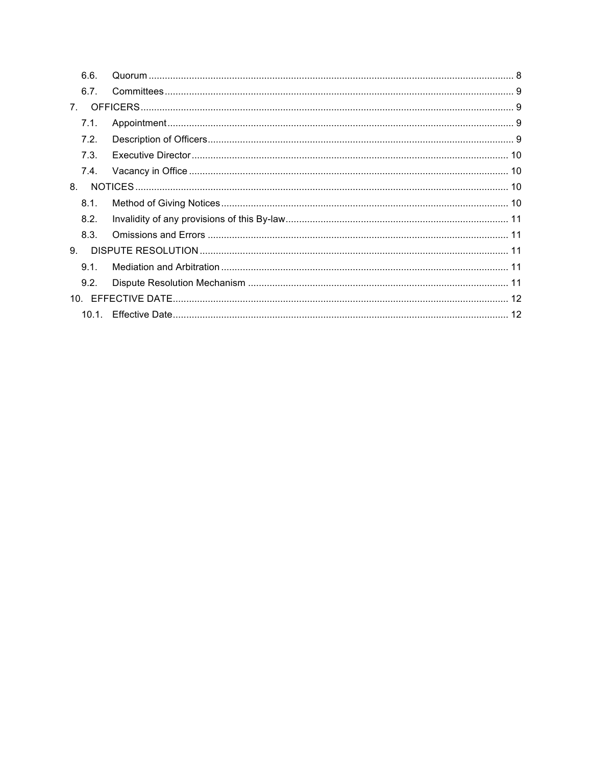| 6.6.        |  |  |  |
|-------------|--|--|--|
| 6.7.        |  |  |  |
| $7_{\circ}$ |  |  |  |
| 7.1.        |  |  |  |
| 7.2.        |  |  |  |
| 7.3.        |  |  |  |
| 7.4.        |  |  |  |
| 8.          |  |  |  |
| 8.1.        |  |  |  |
| 8.2.        |  |  |  |
| 8.3.        |  |  |  |
| 9.          |  |  |  |
| 9.1.        |  |  |  |
| 9.2.        |  |  |  |
|             |  |  |  |
|             |  |  |  |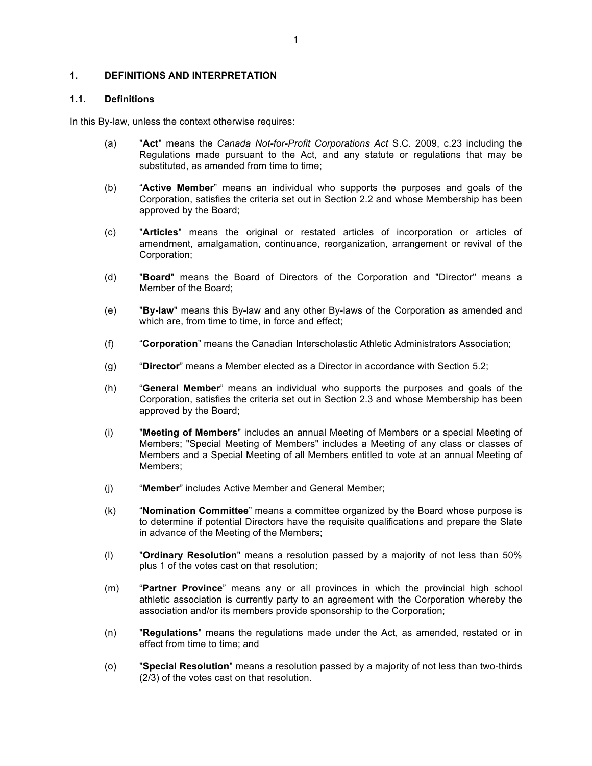### **1. DEFINITIONS AND INTERPRETATION**

## **1.1. Definitions**

In this By-law, unless the context otherwise requires:

- (a) "**Act**" means the *Canada Not-for-Profit Corporations Act* S.C. 2009, c.23 including the Regulations made pursuant to the Act, and any statute or regulations that may be substituted, as amended from time to time;
- (b) "**Active Member**" means an individual who supports the purposes and goals of the Corporation, satisfies the criteria set out in Section 2.2 and whose Membership has been approved by the Board;
- (c) "**Articles**" means the original or restated articles of incorporation or articles of amendment, amalgamation, continuance, reorganization, arrangement or revival of the Corporation;
- (d) "**Board**" means the Board of Directors of the Corporation and "Director" means a Member of the Board;
- (e) "**By-law**" means this By-law and any other By-laws of the Corporation as amended and which are, from time to time, in force and effect;
- (f) "**Corporation**" means the Canadian Interscholastic Athletic Administrators Association;
- (g) "**Director**" means a Member elected as a Director in accordance with Section 5.2;
- (h) "**General Member**" means an individual who supports the purposes and goals of the Corporation, satisfies the criteria set out in Section 2.3 and whose Membership has been approved by the Board;
- (i) "**Meeting of Members**" includes an annual Meeting of Members or a special Meeting of Members; "Special Meeting of Members" includes a Meeting of any class or classes of Members and a Special Meeting of all Members entitled to vote at an annual Meeting of Members;
- (j) "**Member**" includes Active Member and General Member;
- (k) "**Nomination Committee**" means a committee organized by the Board whose purpose is to determine if potential Directors have the requisite qualifications and prepare the Slate in advance of the Meeting of the Members;
- (l) "**Ordinary Resolution**" means a resolution passed by a majority of not less than 50% plus 1 of the votes cast on that resolution;
- (m) "**Partner Province**" means any or all provinces in which the provincial high school athletic association is currently party to an agreement with the Corporation whereby the association and/or its members provide sponsorship to the Corporation;
- (n) "**Regulations**" means the regulations made under the Act, as amended, restated or in effect from time to time; and
- (o) "**Special Resolution**" means a resolution passed by a majority of not less than two-thirds (2/3) of the votes cast on that resolution.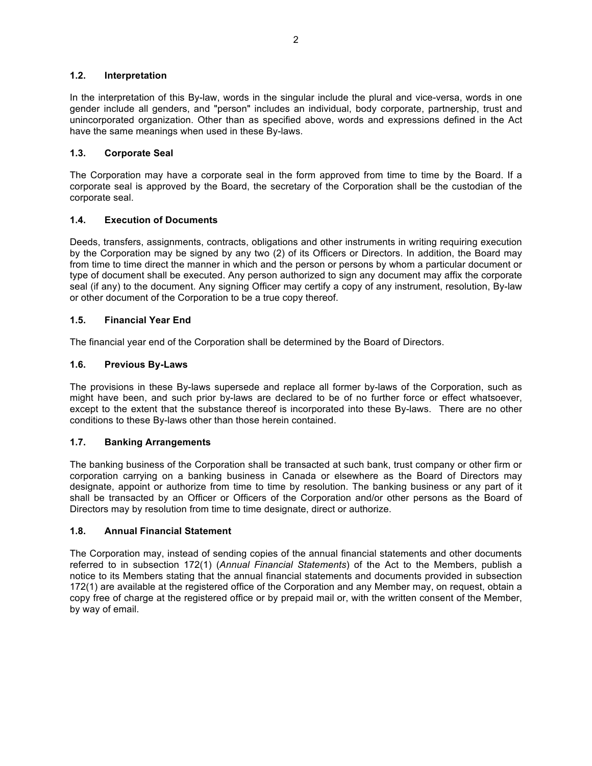# **1.2. Interpretation**

In the interpretation of this By-law, words in the singular include the plural and vice-versa, words in one gender include all genders, and "person" includes an individual, body corporate, partnership, trust and unincorporated organization. Other than as specified above, words and expressions defined in the Act have the same meanings when used in these By-laws.

# **1.3. Corporate Seal**

The Corporation may have a corporate seal in the form approved from time to time by the Board. If a corporate seal is approved by the Board, the secretary of the Corporation shall be the custodian of the corporate seal.

# **1.4. Execution of Documents**

Deeds, transfers, assignments, contracts, obligations and other instruments in writing requiring execution by the Corporation may be signed by any two (2) of its Officers or Directors. In addition, the Board may from time to time direct the manner in which and the person or persons by whom a particular document or type of document shall be executed. Any person authorized to sign any document may affix the corporate seal (if any) to the document. Any signing Officer may certify a copy of any instrument, resolution, By-law or other document of the Corporation to be a true copy thereof.

# **1.5. Financial Year End**

The financial year end of the Corporation shall be determined by the Board of Directors.

# **1.6. Previous By-Laws**

The provisions in these By-laws supersede and replace all former by-laws of the Corporation, such as might have been, and such prior by-laws are declared to be of no further force or effect whatsoever, except to the extent that the substance thereof is incorporated into these By-laws. There are no other conditions to these By-laws other than those herein contained.

# **1.7. Banking Arrangements**

The banking business of the Corporation shall be transacted at such bank, trust company or other firm or corporation carrying on a banking business in Canada or elsewhere as the Board of Directors may designate, appoint or authorize from time to time by resolution. The banking business or any part of it shall be transacted by an Officer or Officers of the Corporation and/or other persons as the Board of Directors may by resolution from time to time designate, direct or authorize.

### **1.8. Annual Financial Statement**

The Corporation may, instead of sending copies of the annual financial statements and other documents referred to in subsection 172(1) (*Annual Financial Statements*) of the Act to the Members, publish a notice to its Members stating that the annual financial statements and documents provided in subsection 172(1) are available at the registered office of the Corporation and any Member may, on request, obtain a copy free of charge at the registered office or by prepaid mail or, with the written consent of the Member, by way of email.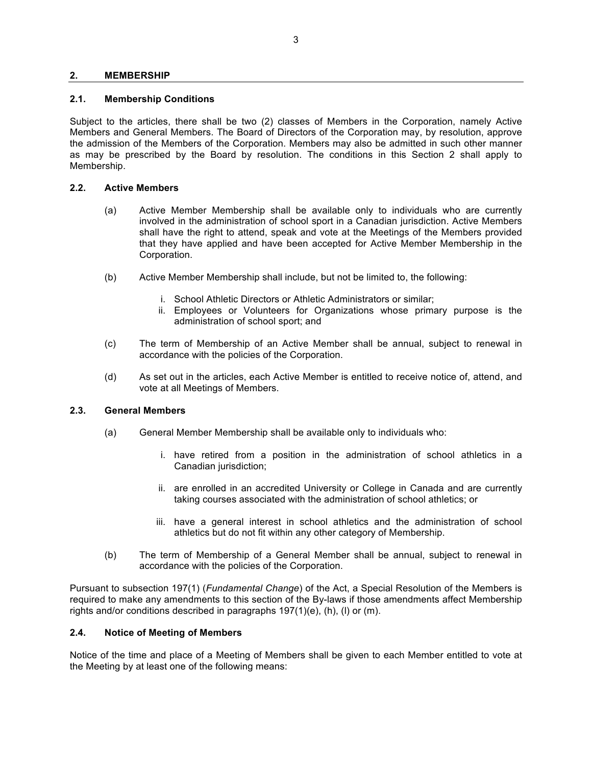### **2. MEMBERSHIP**

#### **2.1. Membership Conditions**

Subject to the articles, there shall be two (2) classes of Members in the Corporation, namely Active Members and General Members. The Board of Directors of the Corporation may, by resolution, approve the admission of the Members of the Corporation. Members may also be admitted in such other manner as may be prescribed by the Board by resolution. The conditions in this Section 2 shall apply to Membership.

### **2.2. Active Members**

- (a) Active Member Membership shall be available only to individuals who are currently involved in the administration of school sport in a Canadian jurisdiction. Active Members shall have the right to attend, speak and vote at the Meetings of the Members provided that they have applied and have been accepted for Active Member Membership in the Corporation.
- (b) Active Member Membership shall include, but not be limited to, the following:
	- i. School Athletic Directors or Athletic Administrators or similar;
	- ii. Employees or Volunteers for Organizations whose primary purpose is the administration of school sport; and
- (c) The term of Membership of an Active Member shall be annual, subject to renewal in accordance with the policies of the Corporation.
- (d) As set out in the articles, each Active Member is entitled to receive notice of, attend, and vote at all Meetings of Members.

#### **2.3. General Members**

- (a) General Member Membership shall be available only to individuals who:
	- i. have retired from a position in the administration of school athletics in a Canadian jurisdiction;
	- ii. are enrolled in an accredited University or College in Canada and are currently taking courses associated with the administration of school athletics; or
	- iii. have a general interest in school athletics and the administration of school athletics but do not fit within any other category of Membership.
- (b) The term of Membership of a General Member shall be annual, subject to renewal in accordance with the policies of the Corporation.

Pursuant to subsection 197(1) (*Fundamental Change*) of the Act, a Special Resolution of the Members is required to make any amendments to this section of the By-laws if those amendments affect Membership rights and/or conditions described in paragraphs  $197(1)(e)$ , (h), (l) or (m).

#### **2.4. Notice of Meeting of Members**

Notice of the time and place of a Meeting of Members shall be given to each Member entitled to vote at the Meeting by at least one of the following means: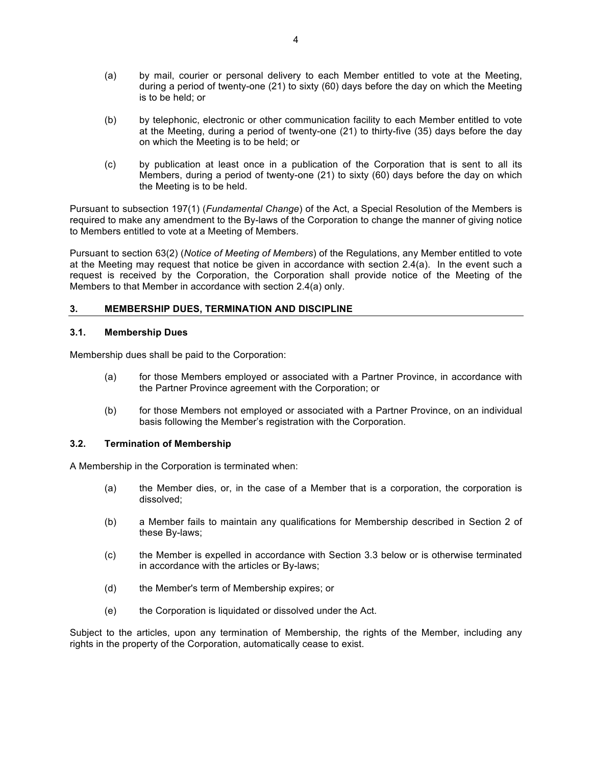- (a) by mail, courier or personal delivery to each Member entitled to vote at the Meeting, during a period of twenty-one (21) to sixty (60) days before the day on which the Meeting is to be held; or
- (b) by telephonic, electronic or other communication facility to each Member entitled to vote at the Meeting, during a period of twenty-one (21) to thirty-five (35) days before the day on which the Meeting is to be held; or
- (c) by publication at least once in a publication of the Corporation that is sent to all its Members, during a period of twenty-one (21) to sixty (60) days before the day on which the Meeting is to be held.

Pursuant to subsection 197(1) (*Fundamental Change*) of the Act, a Special Resolution of the Members is required to make any amendment to the By-laws of the Corporation to change the manner of giving notice to Members entitled to vote at a Meeting of Members.

Pursuant to section 63(2) (*Notice of Meeting of Members*) of the Regulations, any Member entitled to vote at the Meeting may request that notice be given in accordance with section 2.4(a). In the event such a request is received by the Corporation, the Corporation shall provide notice of the Meeting of the Members to that Member in accordance with section 2.4(a) only.

# **3. MEMBERSHIP DUES, TERMINATION AND DISCIPLINE**

### **3.1. Membership Dues**

Membership dues shall be paid to the Corporation:

- (a) for those Members employed or associated with a Partner Province, in accordance with the Partner Province agreement with the Corporation; or
- (b) for those Members not employed or associated with a Partner Province, on an individual basis following the Member's registration with the Corporation.

## **3.2. Termination of Membership**

A Membership in the Corporation is terminated when:

- (a) the Member dies, or, in the case of a Member that is a corporation, the corporation is dissolved;
- (b) a Member fails to maintain any qualifications for Membership described in Section 2 of these By-laws;
- (c) the Member is expelled in accordance with Section 3.3 below or is otherwise terminated in accordance with the articles or By-laws;
- (d) the Member's term of Membership expires; or
- (e) the Corporation is liquidated or dissolved under the Act.

Subject to the articles, upon any termination of Membership, the rights of the Member, including any rights in the property of the Corporation, automatically cease to exist.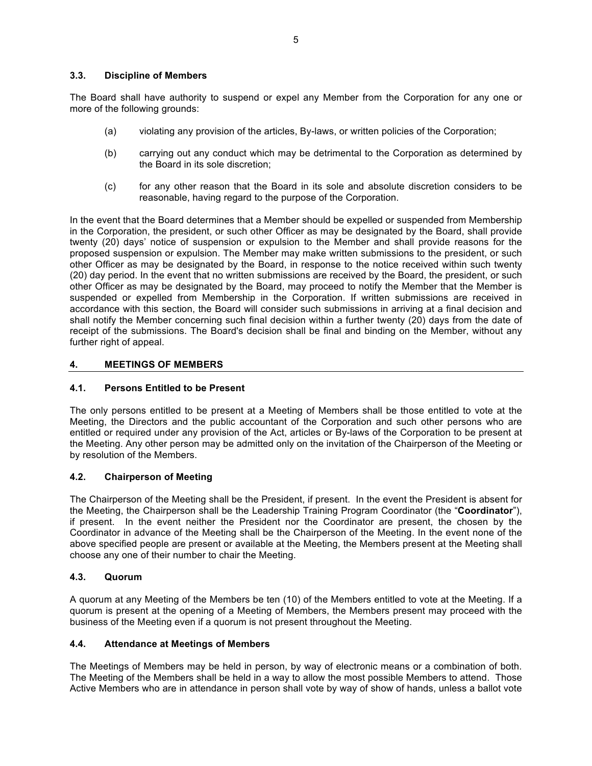# **3.3. Discipline of Members**

The Board shall have authority to suspend or expel any Member from the Corporation for any one or more of the following grounds:

- (a) violating any provision of the articles, By-laws, or written policies of the Corporation;
- (b) carrying out any conduct which may be detrimental to the Corporation as determined by the Board in its sole discretion;
- (c) for any other reason that the Board in its sole and absolute discretion considers to be reasonable, having regard to the purpose of the Corporation.

In the event that the Board determines that a Member should be expelled or suspended from Membership in the Corporation, the president, or such other Officer as may be designated by the Board, shall provide twenty (20) days' notice of suspension or expulsion to the Member and shall provide reasons for the proposed suspension or expulsion. The Member may make written submissions to the president, or such other Officer as may be designated by the Board, in response to the notice received within such twenty (20) day period. In the event that no written submissions are received by the Board, the president, or such other Officer as may be designated by the Board, may proceed to notify the Member that the Member is suspended or expelled from Membership in the Corporation. If written submissions are received in accordance with this section, the Board will consider such submissions in arriving at a final decision and shall notify the Member concerning such final decision within a further twenty (20) days from the date of receipt of the submissions. The Board's decision shall be final and binding on the Member, without any further right of appeal.

# **4. MEETINGS OF MEMBERS**

## **4.1. Persons Entitled to be Present**

The only persons entitled to be present at a Meeting of Members shall be those entitled to vote at the Meeting, the Directors and the public accountant of the Corporation and such other persons who are entitled or required under any provision of the Act, articles or By-laws of the Corporation to be present at the Meeting. Any other person may be admitted only on the invitation of the Chairperson of the Meeting or by resolution of the Members.

### **4.2. Chairperson of Meeting**

The Chairperson of the Meeting shall be the President, if present. In the event the President is absent for the Meeting, the Chairperson shall be the Leadership Training Program Coordinator (the "**Coordinator**"), if present. In the event neither the President nor the Coordinator are present, the chosen by the Coordinator in advance of the Meeting shall be the Chairperson of the Meeting. In the event none of the above specified people are present or available at the Meeting, the Members present at the Meeting shall choose any one of their number to chair the Meeting.

### **4.3. Quorum**

A quorum at any Meeting of the Members be ten (10) of the Members entitled to vote at the Meeting. If a quorum is present at the opening of a Meeting of Members, the Members present may proceed with the business of the Meeting even if a quorum is not present throughout the Meeting.

### **4.4. Attendance at Meetings of Members**

The Meetings of Members may be held in person, by way of electronic means or a combination of both. The Meeting of the Members shall be held in a way to allow the most possible Members to attend. Those Active Members who are in attendance in person shall vote by way of show of hands, unless a ballot vote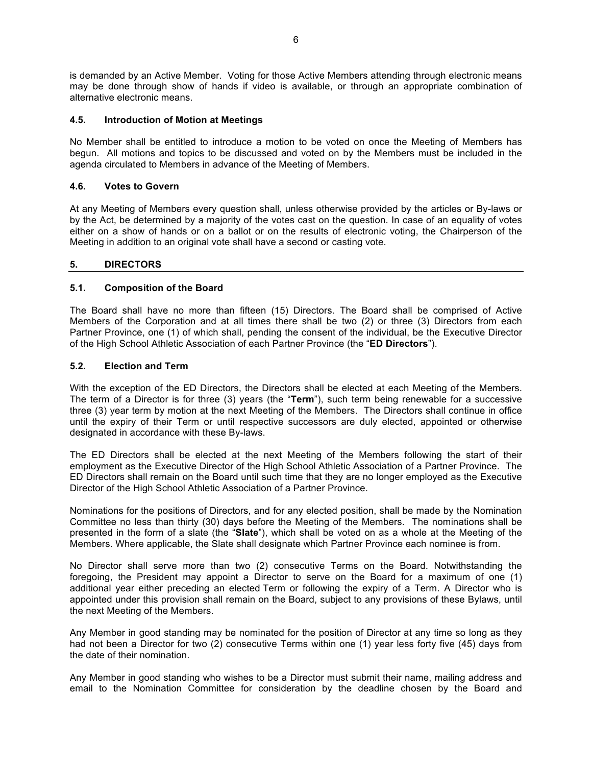is demanded by an Active Member. Voting for those Active Members attending through electronic means may be done through show of hands if video is available, or through an appropriate combination of alternative electronic means.

## **4.5. Introduction of Motion at Meetings**

No Member shall be entitled to introduce a motion to be voted on once the Meeting of Members has begun. All motions and topics to be discussed and voted on by the Members must be included in the agenda circulated to Members in advance of the Meeting of Members.

# **4.6. Votes to Govern**

At any Meeting of Members every question shall, unless otherwise provided by the articles or By-laws or by the Act, be determined by a majority of the votes cast on the question. In case of an equality of votes either on a show of hands or on a ballot or on the results of electronic voting, the Chairperson of the Meeting in addition to an original vote shall have a second or casting vote.

# **5. DIRECTORS**

# **5.1. Composition of the Board**

The Board shall have no more than fifteen (15) Directors. The Board shall be comprised of Active Members of the Corporation and at all times there shall be two (2) or three (3) Directors from each Partner Province, one (1) of which shall, pending the consent of the individual, be the Executive Director of the High School Athletic Association of each Partner Province (the "**ED Directors**").

# **5.2. Election and Term**

With the exception of the ED Directors, the Directors shall be elected at each Meeting of the Members. The term of a Director is for three (3) years (the "**Term**"), such term being renewable for a successive three (3) year term by motion at the next Meeting of the Members. The Directors shall continue in office until the expiry of their Term or until respective successors are duly elected, appointed or otherwise designated in accordance with these By-laws.

The ED Directors shall be elected at the next Meeting of the Members following the start of their employment as the Executive Director of the High School Athletic Association of a Partner Province. The ED Directors shall remain on the Board until such time that they are no longer employed as the Executive Director of the High School Athletic Association of a Partner Province.

Nominations for the positions of Directors, and for any elected position, shall be made by the Nomination Committee no less than thirty (30) days before the Meeting of the Members. The nominations shall be presented in the form of a slate (the "**Slate**"), which shall be voted on as a whole at the Meeting of the Members. Where applicable, the Slate shall designate which Partner Province each nominee is from.

No Director shall serve more than two (2) consecutive Terms on the Board. Notwithstanding the foregoing, the President may appoint a Director to serve on the Board for a maximum of one (1) additional year either preceding an elected Term or following the expiry of a Term. A Director who is appointed under this provision shall remain on the Board, subject to any provisions of these Bylaws, until the next Meeting of the Members.

Any Member in good standing may be nominated for the position of Director at any time so long as they had not been a Director for two (2) consecutive Terms within one (1) year less forty five (45) days from the date of their nomination.

Any Member in good standing who wishes to be a Director must submit their name, mailing address and email to the Nomination Committee for consideration by the deadline chosen by the Board and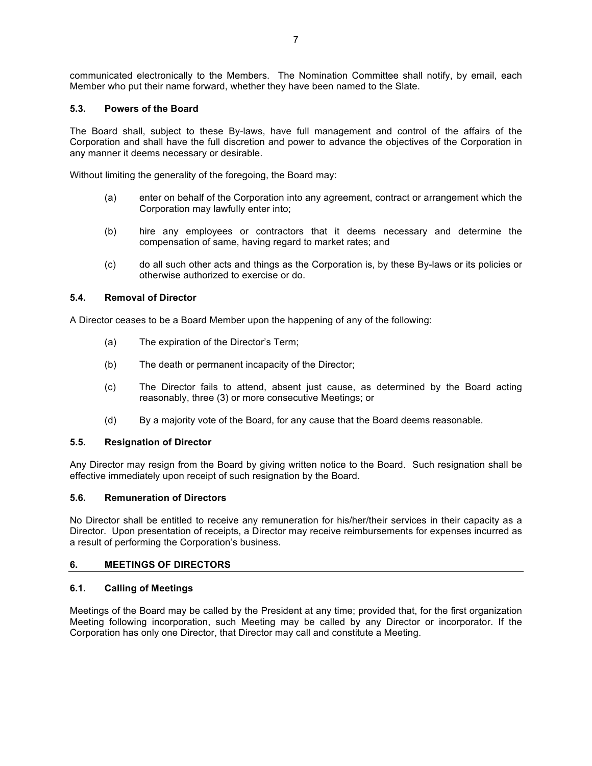communicated electronically to the Members. The Nomination Committee shall notify, by email, each Member who put their name forward, whether they have been named to the Slate.

# **5.3. Powers of the Board**

The Board shall, subject to these By-laws, have full management and control of the affairs of the Corporation and shall have the full discretion and power to advance the objectives of the Corporation in any manner it deems necessary or desirable.

Without limiting the generality of the foregoing, the Board may:

- (a) enter on behalf of the Corporation into any agreement, contract or arrangement which the Corporation may lawfully enter into;
- (b) hire any employees or contractors that it deems necessary and determine the compensation of same, having regard to market rates; and
- (c) do all such other acts and things as the Corporation is, by these By-laws or its policies or otherwise authorized to exercise or do.

# **5.4. Removal of Director**

A Director ceases to be a Board Member upon the happening of any of the following:

- (a) The expiration of the Director's Term;
- (b) The death or permanent incapacity of the Director;
- (c) The Director fails to attend, absent just cause, as determined by the Board acting reasonably, three (3) or more consecutive Meetings; or
- (d) By a majority vote of the Board, for any cause that the Board deems reasonable.

### **5.5. Resignation of Director**

Any Director may resign from the Board by giving written notice to the Board. Such resignation shall be effective immediately upon receipt of such resignation by the Board.

### **5.6. Remuneration of Directors**

No Director shall be entitled to receive any remuneration for his/her/their services in their capacity as a Director. Upon presentation of receipts, a Director may receive reimbursements for expenses incurred as a result of performing the Corporation's business.

### **6. MEETINGS OF DIRECTORS**

### **6.1. Calling of Meetings**

Meetings of the Board may be called by the President at any time; provided that, for the first organization Meeting following incorporation, such Meeting may be called by any Director or incorporator. If the Corporation has only one Director, that Director may call and constitute a Meeting.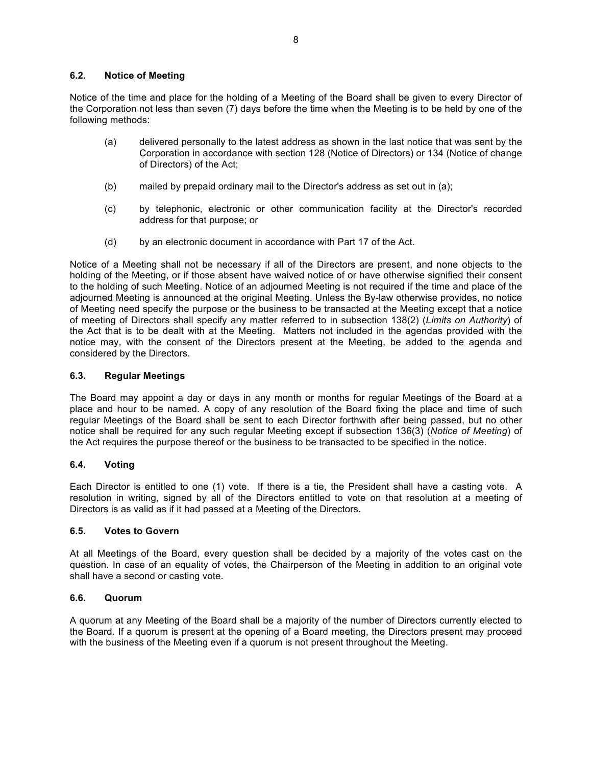# **6.2. Notice of Meeting**

Notice of the time and place for the holding of a Meeting of the Board shall be given to every Director of the Corporation not less than seven (7) days before the time when the Meeting is to be held by one of the following methods:

- (a) delivered personally to the latest address as shown in the last notice that was sent by the Corporation in accordance with section 128 (Notice of Directors) or 134 (Notice of change of Directors) of the Act;
- (b) mailed by prepaid ordinary mail to the Director's address as set out in (a);
- (c) by telephonic, electronic or other communication facility at the Director's recorded address for that purpose; or
- (d) by an electronic document in accordance with Part 17 of the Act.

Notice of a Meeting shall not be necessary if all of the Directors are present, and none objects to the holding of the Meeting, or if those absent have waived notice of or have otherwise signified their consent to the holding of such Meeting. Notice of an adjourned Meeting is not required if the time and place of the adjourned Meeting is announced at the original Meeting. Unless the By-law otherwise provides, no notice of Meeting need specify the purpose or the business to be transacted at the Meeting except that a notice of meeting of Directors shall specify any matter referred to in subsection 138(2) (*Limits on Authority*) of the Act that is to be dealt with at the Meeting. Matters not included in the agendas provided with the notice may, with the consent of the Directors present at the Meeting, be added to the agenda and considered by the Directors.

# **6.3. Regular Meetings**

The Board may appoint a day or days in any month or months for regular Meetings of the Board at a place and hour to be named. A copy of any resolution of the Board fixing the place and time of such regular Meetings of the Board shall be sent to each Director forthwith after being passed, but no other notice shall be required for any such regular Meeting except if subsection 136(3) (*Notice of Meeting*) of the Act requires the purpose thereof or the business to be transacted to be specified in the notice.

# **6.4. Voting**

Each Director is entitled to one (1) vote. If there is a tie, the President shall have a casting vote. A resolution in writing, signed by all of the Directors entitled to vote on that resolution at a meeting of Directors is as valid as if it had passed at a Meeting of the Directors.

# **6.5. Votes to Govern**

At all Meetings of the Board, every question shall be decided by a majority of the votes cast on the question. In case of an equality of votes, the Chairperson of the Meeting in addition to an original vote shall have a second or casting vote.

## **6.6. Quorum**

A quorum at any Meeting of the Board shall be a majority of the number of Directors currently elected to the Board. If a quorum is present at the opening of a Board meeting, the Directors present may proceed with the business of the Meeting even if a quorum is not present throughout the Meeting.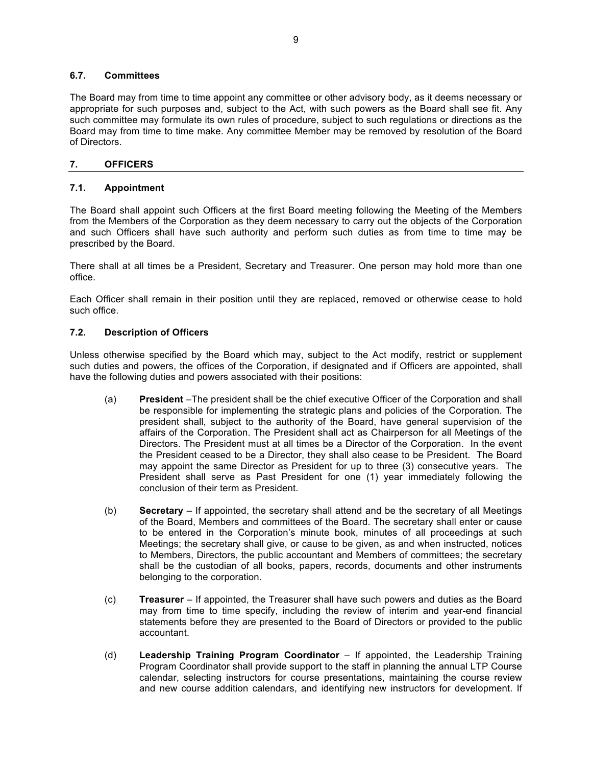## **6.7. Committees**

The Board may from time to time appoint any committee or other advisory body, as it deems necessary or appropriate for such purposes and, subject to the Act, with such powers as the Board shall see fit. Any such committee may formulate its own rules of procedure, subject to such regulations or directions as the Board may from time to time make. Any committee Member may be removed by resolution of the Board of Directors.

# **7. OFFICERS**

# **7.1. Appointment**

The Board shall appoint such Officers at the first Board meeting following the Meeting of the Members from the Members of the Corporation as they deem necessary to carry out the objects of the Corporation and such Officers shall have such authority and perform such duties as from time to time may be prescribed by the Board.

There shall at all times be a President, Secretary and Treasurer. One person may hold more than one office.

Each Officer shall remain in their position until they are replaced, removed or otherwise cease to hold such office.

# **7.2. Description of Officers**

Unless otherwise specified by the Board which may, subject to the Act modify, restrict or supplement such duties and powers, the offices of the Corporation, if designated and if Officers are appointed, shall have the following duties and powers associated with their positions:

- (a) **President** –The president shall be the chief executive Officer of the Corporation and shall be responsible for implementing the strategic plans and policies of the Corporation. The president shall, subject to the authority of the Board, have general supervision of the affairs of the Corporation. The President shall act as Chairperson for all Meetings of the Directors. The President must at all times be a Director of the Corporation. In the event the President ceased to be a Director, they shall also cease to be President. The Board may appoint the same Director as President for up to three (3) consecutive years. The President shall serve as Past President for one (1) year immediately following the conclusion of their term as President.
- (b) **Secretary** If appointed, the secretary shall attend and be the secretary of all Meetings of the Board, Members and committees of the Board. The secretary shall enter or cause to be entered in the Corporation's minute book, minutes of all proceedings at such Meetings; the secretary shall give, or cause to be given, as and when instructed, notices to Members, Directors, the public accountant and Members of committees; the secretary shall be the custodian of all books, papers, records, documents and other instruments belonging to the corporation.
- (c) **Treasurer** If appointed, the Treasurer shall have such powers and duties as the Board may from time to time specify, including the review of interim and year-end financial statements before they are presented to the Board of Directors or provided to the public accountant.
- (d) **Leadership Training Program Coordinator** If appointed, the Leadership Training Program Coordinator shall provide support to the staff in planning the annual LTP Course calendar, selecting instructors for course presentations, maintaining the course review and new course addition calendars, and identifying new instructors for development. If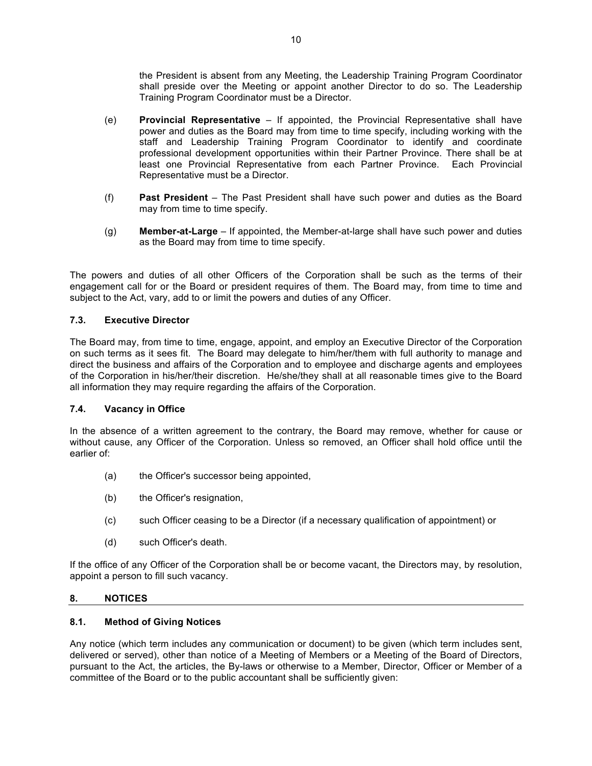the President is absent from any Meeting, the Leadership Training Program Coordinator shall preside over the Meeting or appoint another Director to do so. The Leadership Training Program Coordinator must be a Director.

- (e) **Provincial Representative** If appointed, the Provincial Representative shall have power and duties as the Board may from time to time specify, including working with the staff and Leadership Training Program Coordinator to identify and coordinate professional development opportunities within their Partner Province. There shall be at least one Provincial Representative from each Partner Province. Each Provincial Representative must be a Director.
- (f) **Past President** The Past President shall have such power and duties as the Board may from time to time specify.
- (g) **Member-at-Large** If appointed, the Member-at-large shall have such power and duties as the Board may from time to time specify.

The powers and duties of all other Officers of the Corporation shall be such as the terms of their engagement call for or the Board or president requires of them. The Board may, from time to time and subject to the Act, vary, add to or limit the powers and duties of any Officer.

# **7.3. Executive Director**

The Board may, from time to time, engage, appoint, and employ an Executive Director of the Corporation on such terms as it sees fit. The Board may delegate to him/her/them with full authority to manage and direct the business and affairs of the Corporation and to employee and discharge agents and employees of the Corporation in his/her/their discretion. He/she/they shall at all reasonable times give to the Board all information they may require regarding the affairs of the Corporation.

### **7.4. Vacancy in Office**

In the absence of a written agreement to the contrary, the Board may remove, whether for cause or without cause, any Officer of the Corporation. Unless so removed, an Officer shall hold office until the earlier of:

- (a) the Officer's successor being appointed,
- (b) the Officer's resignation,
- (c) such Officer ceasing to be a Director (if a necessary qualification of appointment) or
- (d) such Officer's death.

If the office of any Officer of the Corporation shall be or become vacant, the Directors may, by resolution, appoint a person to fill such vacancy.

### **8. NOTICES**

## **8.1. Method of Giving Notices**

Any notice (which term includes any communication or document) to be given (which term includes sent, delivered or served), other than notice of a Meeting of Members or a Meeting of the Board of Directors, pursuant to the Act, the articles, the By-laws or otherwise to a Member, Director, Officer or Member of a committee of the Board or to the public accountant shall be sufficiently given: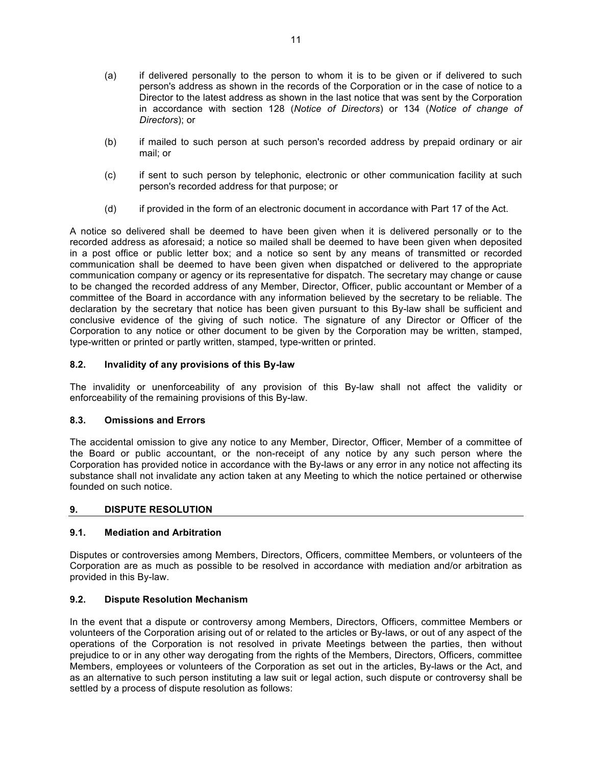- (a) if delivered personally to the person to whom it is to be given or if delivered to such person's address as shown in the records of the Corporation or in the case of notice to a Director to the latest address as shown in the last notice that was sent by the Corporation in accordance with section 128 (*Notice of Directors*) or 134 (*Notice of change of Directors*); or
- (b) if mailed to such person at such person's recorded address by prepaid ordinary or air mail; or
- (c) if sent to such person by telephonic, electronic or other communication facility at such person's recorded address for that purpose; or
- (d) if provided in the form of an electronic document in accordance with Part 17 of the Act.

A notice so delivered shall be deemed to have been given when it is delivered personally or to the recorded address as aforesaid; a notice so mailed shall be deemed to have been given when deposited in a post office or public letter box; and a notice so sent by any means of transmitted or recorded communication shall be deemed to have been given when dispatched or delivered to the appropriate communication company or agency or its representative for dispatch. The secretary may change or cause to be changed the recorded address of any Member, Director, Officer, public accountant or Member of a committee of the Board in accordance with any information believed by the secretary to be reliable. The declaration by the secretary that notice has been given pursuant to this By-law shall be sufficient and conclusive evidence of the giving of such notice. The signature of any Director or Officer of the Corporation to any notice or other document to be given by the Corporation may be written, stamped, type-written or printed or partly written, stamped, type-written or printed.

# **8.2. Invalidity of any provisions of this By-law**

The invalidity or unenforceability of any provision of this By-law shall not affect the validity or enforceability of the remaining provisions of this By-law.

### **8.3. Omissions and Errors**

The accidental omission to give any notice to any Member, Director, Officer, Member of a committee of the Board or public accountant, or the non-receipt of any notice by any such person where the Corporation has provided notice in accordance with the By-laws or any error in any notice not affecting its substance shall not invalidate any action taken at any Meeting to which the notice pertained or otherwise founded on such notice.

### **9. DISPUTE RESOLUTION**

# **9.1. Mediation and Arbitration**

Disputes or controversies among Members, Directors, Officers, committee Members, or volunteers of the Corporation are as much as possible to be resolved in accordance with mediation and/or arbitration as provided in this By-law.

### **9.2. Dispute Resolution Mechanism**

In the event that a dispute or controversy among Members, Directors, Officers, committee Members or volunteers of the Corporation arising out of or related to the articles or By-laws, or out of any aspect of the operations of the Corporation is not resolved in private Meetings between the parties, then without prejudice to or in any other way derogating from the rights of the Members, Directors, Officers, committee Members, employees or volunteers of the Corporation as set out in the articles, By-laws or the Act, and as an alternative to such person instituting a law suit or legal action, such dispute or controversy shall be settled by a process of dispute resolution as follows: